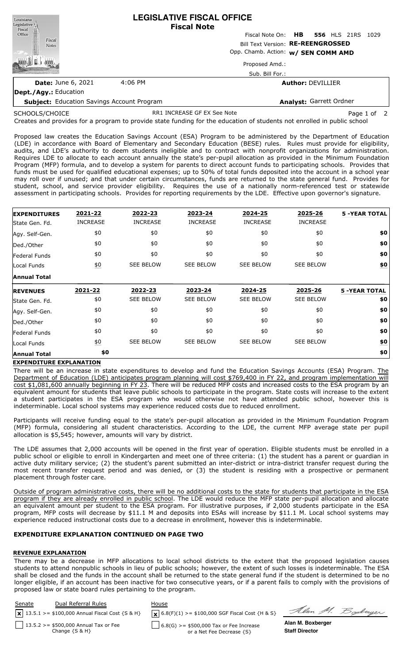| Louisiana<br>Legislative                          | <b>LEGISLATIVE FISCAL OFFICE</b><br><b>Fiscal Note</b> |                                         |  |  |  |  |
|---------------------------------------------------|--------------------------------------------------------|-----------------------------------------|--|--|--|--|
| Fiscal<br>Office                                  |                                                        | Fiscal Note On: HB 556 HLS 21RS<br>1029 |  |  |  |  |
| Fiscal<br><b>Notes</b>                            | Bill Text Version: RE-REENGROSSED                      |                                         |  |  |  |  |
|                                                   |                                                        | Opp. Chamb. Action: w/ SEN COMM AMD     |  |  |  |  |
|                                                   |                                                        | Proposed Amd.:                          |  |  |  |  |
|                                                   |                                                        | Sub. Bill For.:                         |  |  |  |  |
| <b>Date: June 6, 2021</b>                         | 4:06 PM                                                | <b>Author: DEVILLIER</b>                |  |  |  |  |
| <b>Dept./Agy.: Education</b>                      |                                                        |                                         |  |  |  |  |
| <b>Subject:</b> Education Savings Account Program |                                                        | Analyst: Garrett Ordner                 |  |  |  |  |

SCHOOLS/CHOICE

RR1 INCREASE GF EX See Note Page 1 of 2

Soderger

Creates and provides for a program to provide state funding for the education of students not enrolled in public school

Proposed law creates the Education Savings Account (ESA) Program to be administered by the Department of Education (LDE) in accordance with Board of Elementary and Secondary Education (BESE) rules. Rules must provide for eligibility, audits, and LDE's authority to deem students ineligible and to contract with nonprofit organizations for administration. Requires LDE to allocate to each account annually the state's per-pupil allocation as provided in the Minimum Foundation Program (MFP) formula, and to develop a system for parents to direct account funds to participating schools. Provides that funds must be used for qualified educational expenses; up to 50% of total funds deposited into the account in a school year may roll over if unused; and that under certain circumstances, funds are returned to the state general fund. Provides for student, school, and service provider eligibility. Requires the use of a nationally norm-referenced test or statewide assessment in participating schools. Provides for reporting requirements by the LDE. Effective upon governor's signature.

| <b>EXPENDITURES</b> | 2021-22          | 2022-23          | 2023-24          | 2024-25          | 2025-26          | <b>5 -YEAR TOTAL</b> |
|---------------------|------------------|------------------|------------------|------------------|------------------|----------------------|
| State Gen. Fd.      | <b>INCREASE</b>  | <b>INCREASE</b>  | <b>INCREASE</b>  | <b>INCREASE</b>  | <b>INCREASE</b>  |                      |
| Agy. Self-Gen.      | \$0              | \$0              | \$0              | \$0              | \$0              | \$0                  |
| Ded./Other          | \$0              | \$0              | \$0              | \$0              | \$0              | \$0                  |
| Federal Funds       | \$0              | \$0              | \$0              | \$0              | \$0              | \$0                  |
| Local Funds         | $\underline{50}$ | <b>SEE BELOW</b> | <b>SEE BELOW</b> | <b>SEE BELOW</b> | <b>SEE BELOW</b> | \$0                  |
| <b>Annual Total</b> |                  |                  |                  |                  |                  |                      |
| <b>REVENUES</b>     | 2021-22          | 2022-23          | 2023-24          | 2024-25          | 2025-26          | <b>5 -YEAR TOTAL</b> |
| State Gen. Fd.      | \$0              | <b>SEE BELOW</b> | <b>SEE BELOW</b> | <b>SEE BELOW</b> | <b>SEE BELOW</b> | \$0                  |
| Agy. Self-Gen.      | \$0              | \$0              | \$0              | \$0              | \$0              | \$0                  |
| Ded./Other          | \$0              | \$0              | \$0              | \$0              | \$0              | \$0                  |
| Federal Funds       | \$0              | \$0              | \$0              | \$0              | \$0              | \$0                  |
|                     |                  |                  |                  |                  |                  |                      |
| Local Funds         | $\underline{50}$ | <b>SEE BELOW</b> | <b>SEE BELOW</b> | <b>SEE BELOW</b> | <b>SEE BELOW</b> | \$0                  |

### **EXPENDITURE EXPLANATION**

There will be an increase in state expenditures to develop and fund the Education Savings Accounts (ESA) Program. The Department of Education (LDE) anticipates program planning will cost \$769,400 in FY 22, and program implementation will cost \$1,081,600 annually beginning in FY 23. There will be reduced MFP costs and increased costs to the ESA program by an equivalent amount for students that leave public schools to participate in the program. State costs will increase to the extent a student participates in the ESA program who would otherwise not have attended public school, however this is indeterminable. Local school systems may experience reduced costs due to reduced enrollment.

Participants will receive funding equal to the state's per-pupil allocation as provided in the Minimum Foundation Program (MFP) formula, considering all student characteristics. According to the LDE, the current MFP average state per pupil allocation is \$5,545; however, amounts will vary by district.

The LDE assumes that 2,000 accounts will be opened in the first year of operation. Eligible students must be enrolled in a public school or eligible to enroll in Kindergarten and meet one of three criteria: (1) the student has a parent or guardian in active duty military service; (2) the student's parent submitted an inter-district or intra-district transfer request during the most recent transfer request period and was denied, or (3) the student is residing with a prospective or permanent placement through foster care.

Outside of program administrative costs, there will be no additional costs to the state for students that participate in the ESA program if they are already enrolled in public school. The LDE would reduce the MFP state per-pupil allocation and allocate an equivalent amount per student to the ESA program. For illustrative purposes, if 2,000 students participate in the ESA program, MFP costs will decrease by \$11.1 M and deposits into ESAs will increase by \$11.1 M. Local school systems may experience reduced instructional costs due to a decrease in enrollment, however this is indeterminable.

### **EXPENDITURE EXPLANATION CONTINUED ON PAGE TWO**

### **REVENUE EXPLANATION**

There may be a decrease in MFP allocations to local school districts to the extent that the proposed legislation causes students to attend nonpublic schools in lieu of public schools; however, the extent of such losses is indeterminable. The ESA shall be closed and the funds in the account shall be returned to the state general fund if the student is determined to be no longer eligible, if an account has been inactive for two consecutive years, or if a parent fails to comply with the provisions of proposed law or state board rules pertaining to the program.

| Senate | Dual Referral Rules                                           | House                                                                  |                                            |
|--------|---------------------------------------------------------------|------------------------------------------------------------------------|--------------------------------------------|
|        | $\sqrt{13.5.1}$ >= \$100,000 Annual Fiscal Cost {S & H}       | $\mathbf{X}$ 6.8(F)(1) >= \$100,000 SGF Fiscal Cost {H & S}            | Alan M. Z                                  |
|        | 13.5.2 > = \$500,000 Annual Tax or Fee<br>Change $\{S \& H\}$ | $6.8(G)$ >= \$500,000 Tax or Fee Increase<br>or a Net Fee Decrease {S} | Alan M. Boxberger<br><b>Staff Director</b> |